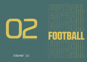





the best<br>score is<br>quality



 $\cup$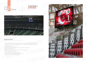#### **GENERAL FEATURES**





- It has three language supports: Turkish, English and French. There is support for a total of 157 characters. In addition to the characters of the three languages, it also includes German, Azerbaijani, Turkmen and Uzbek characters.
- It can work wired or wireless.
- The controller can be used wirelessly for up to 15 hours with a 1.5 hour charge.
- Systems are so easy for the user.
- Team information and player information of the team can be recorded.
- Statistics of the game are recorded.
- It supports referee, player and card animations.
- It has the feature of showing messages on the scoreboard.
- The operation of the scoreboard can be tested.

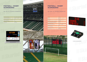SKL–SWC–V2 (Football Cotroller)

| Height                           | 1920 mm                    |
|----------------------------------|----------------------------|
| Width                            | 5120 mm                    |
| Thickness                        | 85 mm                      |
| Weight                           | 260.8 kg                   |
| <b>Maximum Power Consumption</b> | 1440 W                     |
| <b>Average Power Consumption</b> | 1040 W                     |
| <b>Operating Voltage</b>         | $100 - 120V / 200V - 240V$ |
| <b>Operating Temperature</b>     | $(-40C) - (+55C)$          |
| <b>Protection Class</b>          | <b>IP54</b>                |
| <b>Type Of Material</b>          | $\Delta$                   |
| <b>Guarantee Duration</b>        | 2 Years                    |
| Frame Color                      | Mat Black                  |
|                                  |                            |







| <b>Operating Voltage</b>     | $100 - 120V / 200V - 240V$ |
|------------------------------|----------------------------|
| <b>Operating Temperature</b> | $(-40C) - (+55C)$          |
| <b>Protection Class</b>      | <b>IP54</b>                |
| <b>Type Of Material</b>      | $\Delta$                   |
| <b>Guarantee Duration</b>    | 2 Years                    |
| Frame Color                  | Mat Black                  |
|                              |                            |





## **FOOTBALL – RUGBY SCOREBOARD**

www.skorled.com

#### **FOOTBALL – RUGBY SCOREBOARD**

www.skorled.com

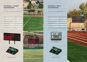SKL–SWC–V2 (Football Cotroller) SKL–SWC–V2 (Football Cotroller)

| Height                           | 1750 mm                                         |
|----------------------------------|-------------------------------------------------|
| Width                            | 4000 mm                                         |
| Thickness                        | 100 mm                                          |
| Weight                           | 84 kg                                           |
| <b>Average Power Consumption</b> | 315 W                                           |
| <b>Operating Voltage</b>         | 220V                                            |
| <b>Operating Temperature</b>     | $(-15^{\circ}\text{C}) - (+55^{\circ}\text{C})$ |
| <b>Protection Class</b>          | <b>IP54</b>                                     |
| <b>Type Of Material</b>          | $\mathsf{A}$                                    |
| <b>Guarantee Duration</b>        | 2 Years                                         |
| Frame Color                      | <b>Mat Black</b>                                |



| 1440 mm                    |
|----------------------------|
| 3840 mm                    |
| 85 mm                      |
| 146.7 kg                   |
| 810 W                      |
| 585 W                      |
| $100 - 120V / 200V - 240V$ |
| $(-40C) - (+55C)$          |
| <b>IP54</b>                |
| $\mathsf{A}$               |
| 2 Years                    |
| Mat Black                  |
|                            |



# **FOOTBALL FIELD SCOREBOARD**

www.skorled.com

#### **FOOTBALL – RUGBY SCOREBOARD**

www.skorled.com





受债债合金

夜き (

 $x - 4$ 

SKL-AFC-V1 (Software)



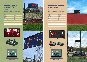SKL–AFC–V1 (Astroturf-Football Controller)



SKL-ASC-V1 SKL–AFC–V1 (Astroturf-Football Controller)





| Height                           | 1200 mm                         |
|----------------------------------|---------------------------------|
| Width                            | 2500 mm                         |
| Thickness                        | 100 mm                          |
| Weight                           | 41 kg                           |
| <b>Average Power Consumption</b> | 230 W                           |
| <b>Operating Voltage</b>         | 220V                            |
| <b>Operating Temperature</b>     | $(-15\text{C}) - (+55\text{C})$ |
| <b>Protection Class</b>          | <b>IP53</b>                     |
| <b>Type Of Material</b>          | $\Delta$                        |
| <b>Guarantee Duration</b>        | 2 Years                         |
| Frame Color                      | Mat Black                       |







### **ASTROTURF – FOOTBALL SCOREBOARD**

www.skorled.com

### **FOOTBALL FIELD SCOREBOARD**

www.skorled.com

| Height                           | 600 mm                                          |
|----------------------------------|-------------------------------------------------|
| Width                            | 1200 mm                                         |
| Thickness                        | 85 mm                                           |
| Weight                           | 14 kg                                           |
| <b>Maximum Power Consumption</b> | 108 W                                           |
| <b>Average Power Consumption</b> | 72 W                                            |
| <b>Operating Voltage</b>         | $100 - 120V / 200V - 240V$                      |
| <b>Operating Temperature</b>     | $(-40^{\circ}\text{C}) - (+55^{\circ}\text{C})$ |
| <b>Protection Class</b>          | <b>IP54</b>                                     |
| <b>Type Of Material</b>          | $\Delta$                                        |
| <b>Guarantee Duration</b>        | 2 Years                                         |
| Frame Color                      | Mat Black                                       |
|                                  |                                                 |

![](_page_4_Picture_14.jpeg)

![](_page_4_Picture_15.jpeg)